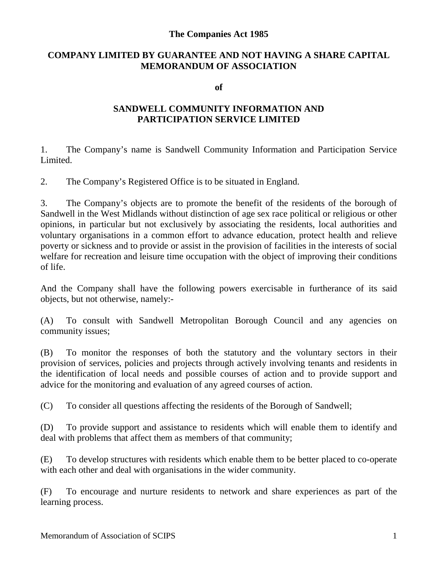## **The Companies Act 1985**

## **COMPANY LIMITED BY GUARANTEE AND NOT HAVING A SHARE CAPITAL MEMORANDUM OF ASSOCIATION**

**of**

## **SANDWELL COMMUNITY INFORMATION AND PARTICIPATION SERVICE LIMITED**

1. The Company's name is Sandwell Community Information and Participation Service Limited.

2. The Company's Registered Office is to be situated in England.

3. The Company's objects are to promote the benefit of the residents of the borough of Sandwell in the West Midlands without distinction of age sex race political or religious or other opinions, in particular but not exclusively by associating the residents, local authorities and voluntary organisations in a common effort to advance education, protect health and relieve poverty or sickness and to provide or assist in the provision of facilities in the interests of social welfare for recreation and leisure time occupation with the object of improving their conditions of life.

And the Company shall have the following powers exercisable in furtherance of its said objects, but not otherwise, namely:-

(A) To consult with Sandwell Metropolitan Borough Council and any agencies on community issues;

(B) To monitor the responses of both the statutory and the voluntary sectors in their provision of services, policies and projects through actively involving tenants and residents in the identification of local needs and possible courses of action and to provide support and advice for the monitoring and evaluation of any agreed courses of action.

(C) To consider all questions affecting the residents of the Borough of Sandwell;

(D) To provide support and assistance to residents which will enable them to identify and deal with problems that affect them as members of that community;

(E) To develop structures with residents which enable them to be better placed to co-operate with each other and deal with organisations in the wider community.

(F) To encourage and nurture residents to network and share experiences as part of the learning process.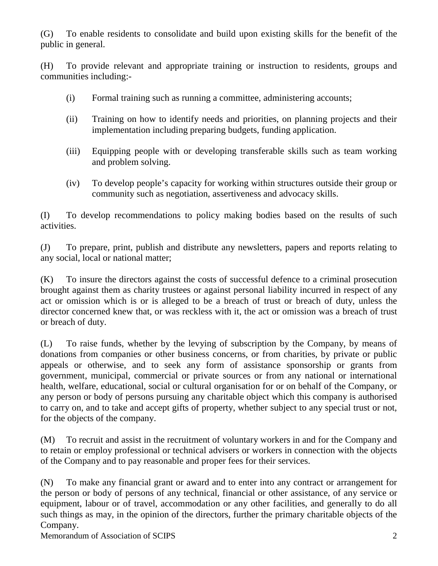(G) To enable residents to consolidate and build upon existing skills for the benefit of the public in general.

(H) To provide relevant and appropriate training or instruction to residents, groups and communities including:-

- (i) Formal training such as running a committee, administering accounts;
- (ii) Training on how to identify needs and priorities, on planning projects and their implementation including preparing budgets, funding application.
- (iii) Equipping people with or developing transferable skills such as team working and problem solving.
- (iv) To develop people's capacity for working within structures outside their group or community such as negotiation, assertiveness and advocacy skills.

(I) To develop recommendations to policy making bodies based on the results of such activities.

(J) To prepare, print, publish and distribute any newsletters, papers and reports relating to any social, local or national matter;

(K) To insure the directors against the costs of successful defence to a criminal prosecution brought against them as charity trustees or against personal liability incurred in respect of any act or omission which is or is alleged to be a breach of trust or breach of duty, unless the director concerned knew that, or was reckless with it, the act or omission was a breach of trust or breach of duty.

(L) To raise funds, whether by the levying of subscription by the Company, by means of donations from companies or other business concerns, or from charities, by private or public appeals or otherwise, and to seek any form of assistance sponsorship or grants from government, municipal, commercial or private sources or from any national or international health, welfare, educational, social or cultural organisation for or on behalf of the Company, or any person or body of persons pursuing any charitable object which this company is authorised to carry on, and to take and accept gifts of property, whether subject to any special trust or not, for the objects of the company.

(M) To recruit and assist in the recruitment of voluntary workers in and for the Company and to retain or employ professional or technical advisers or workers in connection with the objects of the Company and to pay reasonable and proper fees for their services.

(N) To make any financial grant or award and to enter into any contract or arrangement for the person or body of persons of any technical, financial or other assistance, of any service or equipment, labour or of travel, accommodation or any other facilities, and generally to do all such things as may, in the opinion of the directors, further the primary charitable objects of the Company.

Memorandum of Association of SCIPS 2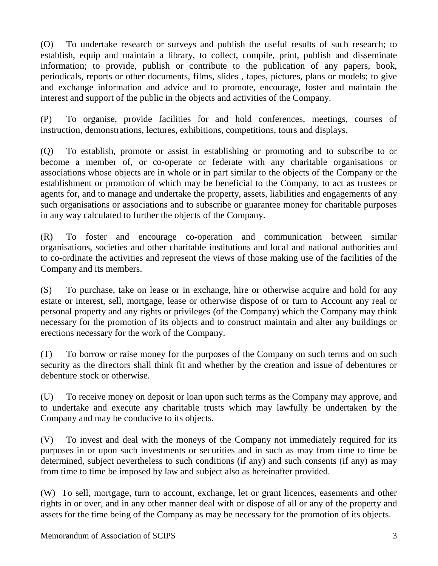(O) To undertake research or surveys and publish the useful results of such research; to establish, equip and maintain a library, to collect, compile, print, publish and disseminate information; to provide, publish or contribute to the publication of any papers, book, periodicals, reports or other documents, films, slides , tapes, pictures, plans or models; to give and exchange information and advice and to promote, encourage, foster and maintain the interest and support of the public in the objects and activities of the Company.

(P) To organise, provide facilities for and hold conferences, meetings, courses of instruction, demonstrations, lectures, exhibitions, competitions, tours and displays.

(Q) To establish, promote or assist in establishing or promoting and to subscribe to or become a member of, or co-operate or federate with any charitable organisations or associations whose objects are in whole or in part similar to the objects of the Company or the establishment or promotion of which may be beneficial to the Company, to act as trustees or agents for, and to manage and undertake the property, assets, liabilities and engagements of any such organisations or associations and to subscribe or guarantee money for charitable purposes in any way calculated to further the objects of the Company.

(R) To foster and encourage co-operation and communication between similar organisations, societies and other charitable institutions and local and national authorities and to co-ordinate the activities and represent the views of those making use of the facilities of the Company and its members.

(S) To purchase, take on lease or in exchange, hire or otherwise acquire and hold for any estate or interest, sell, mortgage, lease or otherwise dispose of or turn to Account any real or personal property and any rights or privileges (of the Company) which the Company may think necessary for the promotion of its objects and to construct maintain and alter any buildings or erections necessary for the work of the Company.

(T) To borrow or raise money for the purposes of the Company on such terms and on such security as the directors shall think fit and whether by the creation and issue of debentures or debenture stock or otherwise.

(U) To receive money on deposit or loan upon such terms as the Company may approve, and to undertake and execute any charitable trusts which may lawfully be undertaken by the Company and may be conducive to its objects.

(V) To invest and deal with the moneys of the Company not immediately required for its purposes in or upon such investments or securities and in such as may from time to time be determined, subject nevertheless to such conditions (if any) and such consents (if any) as may from time to time be imposed by law and subject also as hereinafter provided.

(W) To sell, mortgage, turn to account, exchange, let or grant licences, easements and other rights in or over, and in any other manner deal with or dispose of all or any of the property and assets for the time being of the Company as may be necessary for the promotion of its objects.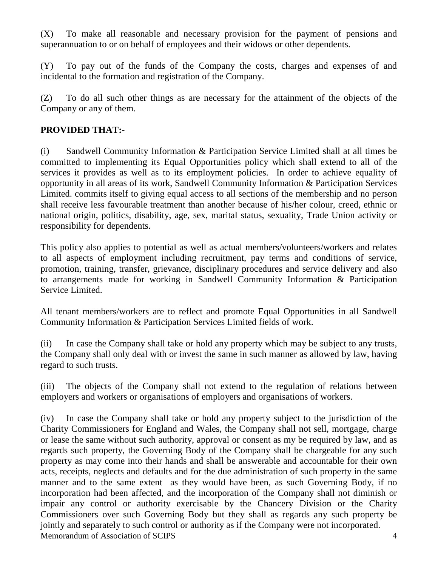(X) To make all reasonable and necessary provision for the payment of pensions and superannuation to or on behalf of employees and their widows or other dependents.

(Y) To pay out of the funds of the Company the costs, charges and expenses of and incidental to the formation and registration of the Company.

(Z) To do all such other things as are necessary for the attainment of the objects of the Company or any of them.

## **PROVIDED THAT:-**

(i) Sandwell Community Information & Participation Service Limited shall at all times be committed to implementing its Equal Opportunities policy which shall extend to all of the services it provides as well as to its employment policies. In order to achieve equality of opportunity in all areas of its work, Sandwell Community Information & Participation Services Limited. commits itself to giving equal access to all sections of the membership and no person shall receive less favourable treatment than another because of his/her colour, creed, ethnic or national origin, politics, disability, age, sex, marital status, sexuality, Trade Union activity or responsibility for dependents.

This policy also applies to potential as well as actual members/volunteers/workers and relates to all aspects of employment including recruitment, pay terms and conditions of service, promotion, training, transfer, grievance, disciplinary procedures and service delivery and also to arrangements made for working in Sandwell Community Information & Participation Service Limited.

All tenant members/workers are to reflect and promote Equal Opportunities in all Sandwell Community Information & Participation Services Limited fields of work.

(ii) In case the Company shall take or hold any property which may be subject to any trusts, the Company shall only deal with or invest the same in such manner as allowed by law, having regard to such trusts.

(iii) The objects of the Company shall not extend to the regulation of relations between employers and workers or organisations of employers and organisations of workers.

Memorandum of Association of SCIPS 4 (iv) In case the Company shall take or hold any property subject to the jurisdiction of the Charity Commissioners for England and Wales, the Company shall not sell, mortgage, charge or lease the same without such authority, approval or consent as my be required by law, and as regards such property, the Governing Body of the Company shall be chargeable for any such property as may come into their hands and shall be answerable and accountable for their own acts, receipts, neglects and defaults and for the due administration of such property in the same manner and to the same extent as they would have been, as such Governing Body, if no incorporation had been affected, and the incorporation of the Company shall not diminish or impair any control or authority exercisable by the Chancery Division or the Charity Commissioners over such Governing Body but they shall as regards any such property be jointly and separately to such control or authority as if the Company were not incorporated.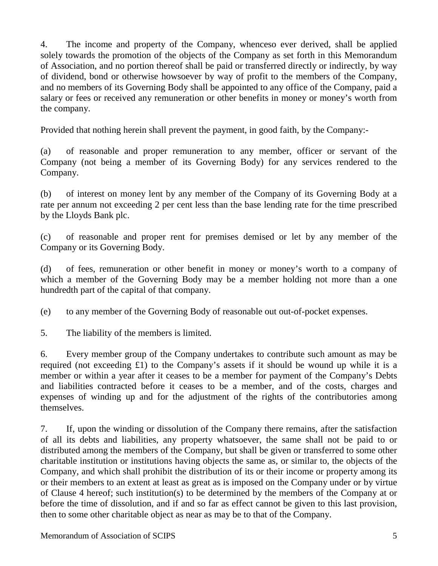4. The income and property of the Company, whenceso ever derived, shall be applied solely towards the promotion of the objects of the Company as set forth in this Memorandum of Association, and no portion thereof shall be paid or transferred directly or indirectly, by way of dividend, bond or otherwise howsoever by way of profit to the members of the Company, and no members of its Governing Body shall be appointed to any office of the Company, paid a salary or fees or received any remuneration or other benefits in money or money's worth from the company.

Provided that nothing herein shall prevent the payment, in good faith, by the Company:-

(a) of reasonable and proper remuneration to any member, officer or servant of the Company (not being a member of its Governing Body) for any services rendered to the Company.

(b) of interest on money lent by any member of the Company of its Governing Body at a rate per annum not exceeding 2 per cent less than the base lending rate for the time prescribed by the Lloyds Bank plc.

(c) of reasonable and proper rent for premises demised or let by any member of the Company or its Governing Body.

(d) of fees, remuneration or other benefit in money or money's worth to a company of which a member of the Governing Body may be a member holding not more than a one hundredth part of the capital of that company.

(e) to any member of the Governing Body of reasonable out out-of-pocket expenses.

5. The liability of the members is limited.

6. Every member group of the Company undertakes to contribute such amount as may be required (not exceeding £1) to the Company's assets if it should be wound up while it is a member or within a year after it ceases to be a member for payment of the Company's Debts and liabilities contracted before it ceases to be a member, and of the costs, charges and expenses of winding up and for the adjustment of the rights of the contributories among themselves.

7. If, upon the winding or dissolution of the Company there remains, after the satisfaction of all its debts and liabilities, any property whatsoever, the same shall not be paid to or distributed among the members of the Company, but shall be given or transferred to some other charitable institution or institutions having objects the same as, or similar to, the objects of the Company, and which shall prohibit the distribution of its or their income or property among its or their members to an extent at least as great as is imposed on the Company under or by virtue of Clause 4 hereof; such institution(s) to be determined by the members of the Company at or before the time of dissolution, and if and so far as effect cannot be given to this last provision, then to some other charitable object as near as may be to that of the Company.